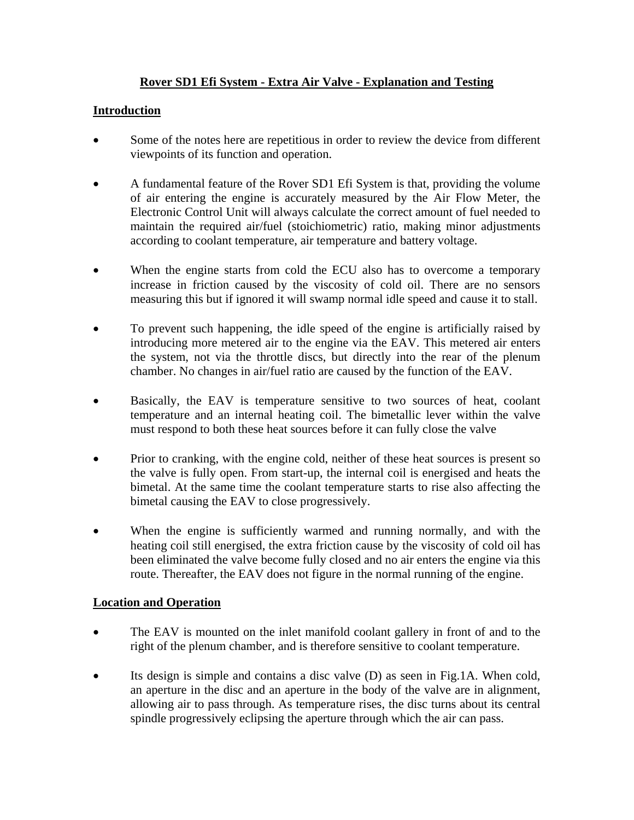# **Rover SD1 Efi System - Extra Air Valve - Explanation and Testing**

### **Introduction**

- Some of the notes here are repetitious in order to review the device from different viewpoints of its function and operation.
- A fundamental feature of the Rover SD1 Efi System is that, providing the volume of air entering the engine is accurately measured by the Air Flow Meter, the Electronic Control Unit will always calculate the correct amount of fuel needed to maintain the required air/fuel (stoichiometric) ratio, making minor adjustments according to coolant temperature, air temperature and battery voltage.
- When the engine starts from cold the ECU also has to overcome a temporary increase in friction caused by the viscosity of cold oil. There are no sensors measuring this but if ignored it will swamp normal idle speed and cause it to stall.
- To prevent such happening, the idle speed of the engine is artificially raised by introducing more metered air to the engine via the EAV. This metered air enters the system, not via the throttle discs, but directly into the rear of the plenum chamber. No changes in air/fuel ratio are caused by the function of the EAV.
- Basically, the EAV is temperature sensitive to two sources of heat, coolant temperature and an internal heating coil. The bimetallic lever within the valve must respond to both these heat sources before it can fully close the valve
- Prior to cranking, with the engine cold, neither of these heat sources is present so the valve is fully open. From start-up, the internal coil is energised and heats the bimetal. At the same time the coolant temperature starts to rise also affecting the bimetal causing the EAV to close progressively.
- When the engine is sufficiently warmed and running normally, and with the heating coil still energised, the extra friction cause by the viscosity of cold oil has been eliminated the valve become fully closed and no air enters the engine via this route. Thereafter, the EAV does not figure in the normal running of the engine.

### **Location and Operation**

- The EAV is mounted on the inlet manifold coolant gallery in front of and to the right of the plenum chamber, and is therefore sensitive to coolant temperature.
- Its design is simple and contains a disc valve (D) as seen in Fig.1A. When cold, an aperture in the disc and an aperture in the body of the valve are in alignment, allowing air to pass through. As temperature rises, the disc turns about its central spindle progressively eclipsing the aperture through which the air can pass.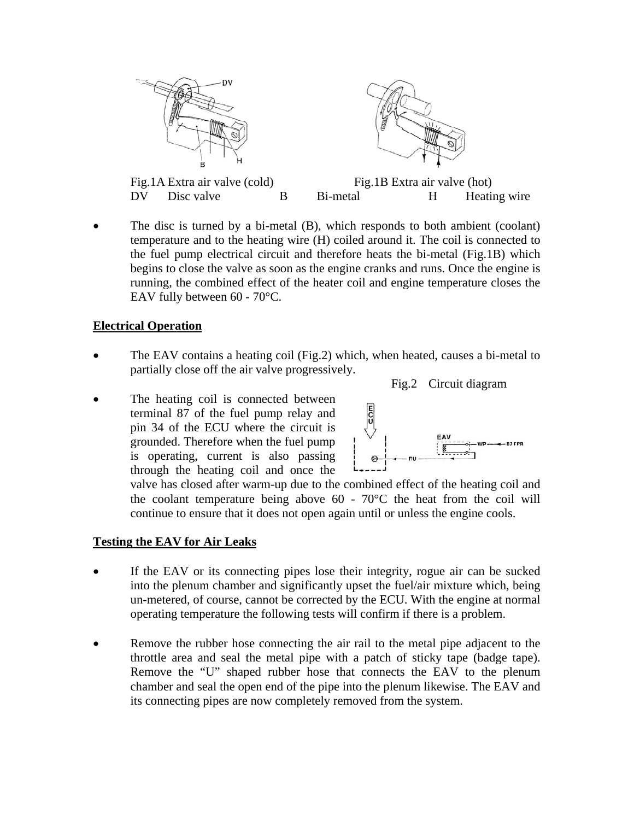

• The disc is turned by a bi-metal (B), which responds to both ambient (coolant) temperature and to the heating wire (H) coiled around it. The coil is connected to the fuel pump electrical circuit and therefore heats the bi-metal (Fig.1B) which begins to close the valve as soon as the engine cranks and runs. Once the engine is running, the combined effect of the heater coil and engine temperature closes the EAV fully between 60 - 70°C.

#### **Electrical Operation**

- The EAV contains a heating coil (Fig.2) which, when heated, causes a bi-metal to partially close off the air valve progressively.
- The heating coil is connected between terminal 87 of the fuel pump relay and pin 34 of the ECU where the circuit is grounded. Therefore when the fuel pump is operating, current is also passing through the heating coil and once the



Fig.2 Circuit diagram

valve has closed after warm-up due to the combined effect of the heating coil and the coolant temperature being above  $60 - 70^{\circ}$ C the heat from the coil will continue to ensure that it does not open again until or unless the engine cools.

### **Testing the EAV for Air Leaks**

- If the EAV or its connecting pipes lose their integrity, rogue air can be sucked into the plenum chamber and significantly upset the fuel/air mixture which, being un-metered, of course, cannot be corrected by the ECU. With the engine at normal operating temperature the following tests will confirm if there is a problem.
- Remove the rubber hose connecting the air rail to the metal pipe adjacent to the throttle area and seal the metal pipe with a patch of sticky tape (badge tape). Remove the "U" shaped rubber hose that connects the EAV to the plenum chamber and seal the open end of the pipe into the plenum likewise. The EAV and its connecting pipes are now completely removed from the system.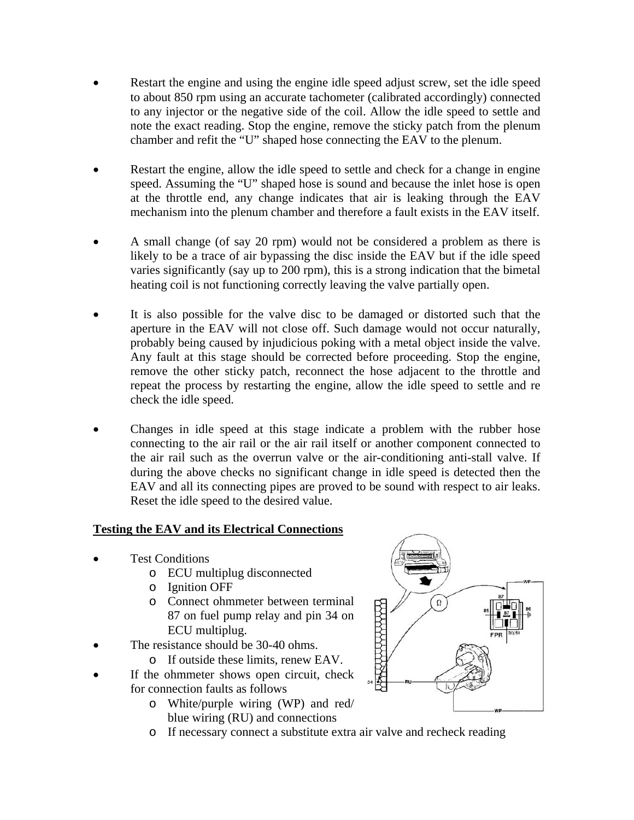- Restart the engine and using the engine idle speed adjust screw, set the idle speed to about 850 rpm using an accurate tachometer (calibrated accordingly) connected to any injector or the negative side of the coil. Allow the idle speed to settle and note the exact reading. Stop the engine, remove the sticky patch from the plenum chamber and refit the "U" shaped hose connecting the EAV to the plenum.
- Restart the engine, allow the idle speed to settle and check for a change in engine speed. Assuming the "U" shaped hose is sound and because the inlet hose is open at the throttle end, any change indicates that air is leaking through the EAV mechanism into the plenum chamber and therefore a fault exists in the EAV itself.
- A small change (of say 20 rpm) would not be considered a problem as there is likely to be a trace of air bypassing the disc inside the EAV but if the idle speed varies significantly (say up to 200 rpm), this is a strong indication that the bimetal heating coil is not functioning correctly leaving the valve partially open.
- It is also possible for the valve disc to be damaged or distorted such that the aperture in the EAV will not close off. Such damage would not occur naturally, probably being caused by injudicious poking with a metal object inside the valve. Any fault at this stage should be corrected before proceeding. Stop the engine, remove the other sticky patch, reconnect the hose adjacent to the throttle and repeat the process by restarting the engine, allow the idle speed to settle and re check the idle speed.
- Changes in idle speed at this stage indicate a problem with the rubber hose connecting to the air rail or the air rail itself or another component connected to the air rail such as the overrun valve or the air-conditioning anti-stall valve. If during the above checks no significant change in idle speed is detected then the EAV and all its connecting pipes are proved to be sound with respect to air leaks. Reset the idle speed to the desired value.

### **Testing the EAV and its Electrical Connections**

- Test Conditions
	- o ECU multiplug disconnected
	- o Ignition OFF
	- o Connect ohmmeter between terminal 87 on fuel pump relay and pin 34 on ECU multiplug.
- The resistance should be 30-40 ohms.
	- o If outside these limits, renew EAV.
- If the ohmmeter shows open circuit, check for connection faults as follows
	- o White/purple wiring (WP) and red/ blue wiring (RU) and connections



o If necessary connect a substitute extra air valve and recheck reading